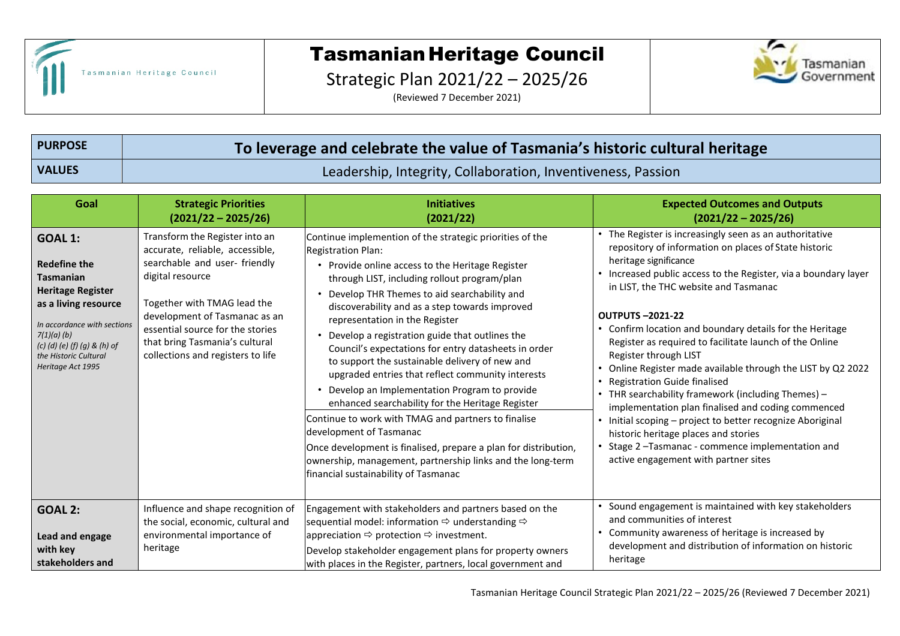

## Tasmanian Heritage Council

Strategic Plan 2021/22 – 2025/26

(Reviewed 7 December 2021)



**PURPOSE To leverage and celebrate the value of Tasmania's historic cultural heritage VALUES** Leadership, Integrity, Collaboration, Inventiveness, Passion

| Goal                                                                                                                                                                                                                                       | <b>Strategic Priorities</b><br>$(2021/22 - 2025/26)$                                                                                                                                                                                                                                             | <b>Initiatives</b><br>(2021/22)                                                                                                                                                                                                                                                                                                                                                                                                                                                                                                                                                                                                                                                                                                                                                                                                                                                                       | <b>Expected Outcomes and Outputs</b><br>$(2021/22 - 2025/26)$                                                                                                                                                                                                                                                                                                                                                                                                                                                                                                                                                                                                                                                                                                                                                                            |
|--------------------------------------------------------------------------------------------------------------------------------------------------------------------------------------------------------------------------------------------|--------------------------------------------------------------------------------------------------------------------------------------------------------------------------------------------------------------------------------------------------------------------------------------------------|-------------------------------------------------------------------------------------------------------------------------------------------------------------------------------------------------------------------------------------------------------------------------------------------------------------------------------------------------------------------------------------------------------------------------------------------------------------------------------------------------------------------------------------------------------------------------------------------------------------------------------------------------------------------------------------------------------------------------------------------------------------------------------------------------------------------------------------------------------------------------------------------------------|------------------------------------------------------------------------------------------------------------------------------------------------------------------------------------------------------------------------------------------------------------------------------------------------------------------------------------------------------------------------------------------------------------------------------------------------------------------------------------------------------------------------------------------------------------------------------------------------------------------------------------------------------------------------------------------------------------------------------------------------------------------------------------------------------------------------------------------|
| <b>GOAL 1:</b><br><b>Redefine the</b><br><b>Tasmanian</b><br><b>Heritage Register</b><br>as a living resource<br>In accordance with sections<br>7(1)(a)(b)<br>$(c)$ (d) (e) (f) (g) & (h) of<br>the Historic Cultural<br>Heritage Act 1995 | Transform the Register into an<br>accurate, reliable, accessible,<br>searchable and user-friendly<br>digital resource<br>Together with TMAG lead the<br>development of Tasmanac as an<br>essential source for the stories<br>that bring Tasmania's cultural<br>collections and registers to life | Continue implemention of the strategic priorities of the<br>Registration Plan:<br>• Provide online access to the Heritage Register<br>through LIST, including rollout program/plan<br>Develop THR Themes to aid searchability and<br>discoverability and as a step towards improved<br>representation in the Register<br>Develop a registration guide that outlines the<br>Council's expectations for entry datasheets in order<br>to support the sustainable delivery of new and<br>upgraded entries that reflect community interests<br>Develop an Implementation Program to provide<br>enhanced searchability for the Heritage Register<br>Continue to work with TMAG and partners to finalise<br>development of Tasmanac<br>Once development is finalised, prepare a plan for distribution,<br>ownership, management, partnership links and the long-term<br>financial sustainability of Tasmanac | • The Register is increasingly seen as an authoritative<br>repository of information on places of State historic<br>heritage significance<br>Increased public access to the Register, via a boundary layer<br>in LIST, the THC website and Tasmanac<br><b>OUTPUTS-2021-22</b><br>Confirm location and boundary details for the Heritage<br>Register as required to facilitate launch of the Online<br>Register through LIST<br>Online Register made available through the LIST by Q2 2022<br><b>Registration Guide finalised</b><br>THR searchability framework (including Themes) -<br>implementation plan finalised and coding commenced<br>Initial scoping - project to better recognize Aboriginal<br>historic heritage places and stories<br>Stage 2-Tasmanac - commence implementation and<br>active engagement with partner sites |
| <b>GOAL 2:</b><br>Lead and engage<br>with key<br>stakeholders and                                                                                                                                                                          | Influence and shape recognition of<br>the social, economic, cultural and<br>environmental importance of<br>heritage                                                                                                                                                                              | Engagement with stakeholders and partners based on the<br>sequential model: information $\Rightarrow$ understanding $\Rightarrow$<br>appreciation $\Rightarrow$ protection $\Rightarrow$ investment.<br>Develop stakeholder engagement plans for property owners<br>with places in the Register, partners, local government and                                                                                                                                                                                                                                                                                                                                                                                                                                                                                                                                                                       | Sound engagement is maintained with key stakeholders<br>and communities of interest<br>Community awareness of heritage is increased by<br>development and distribution of information on historic<br>heritage                                                                                                                                                                                                                                                                                                                                                                                                                                                                                                                                                                                                                            |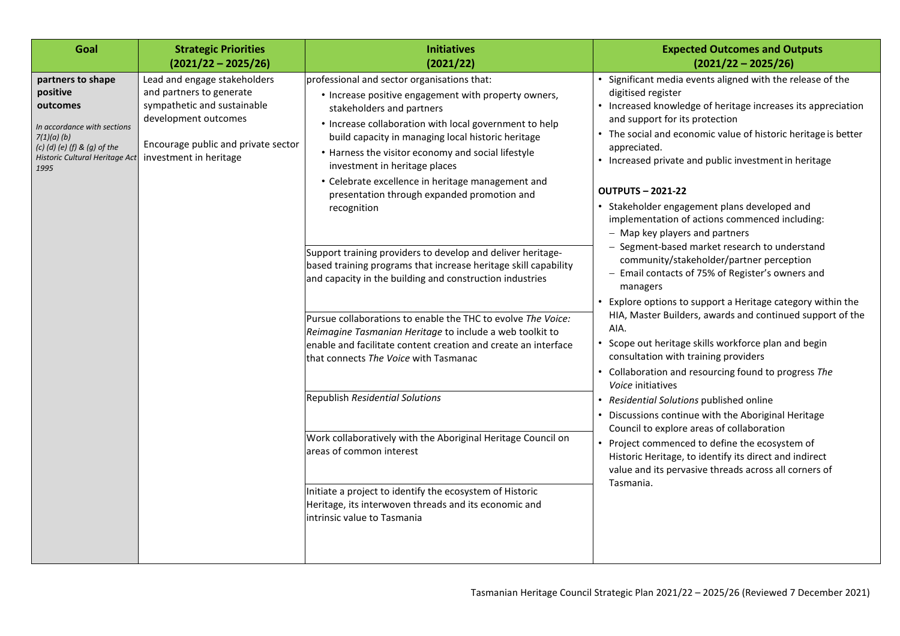| Goal                                                                                                                                                                 | <b>Strategic Priorities</b><br>$(2021/22 - 2025/26)$                                                                                                                             | <b>Initiatives</b><br>(2021/22)                                                                                                                                                                                                                                                                                                                                                                                                                                                                                                                                                                                                                                                                                                                                                                                                                                                                 | <b>Expected Outcomes and Outputs</b><br>$(2021/22 - 2025/26)$                                                                                                                                                                                                                                                                                                                                                                                                                                                                                                                                                                                                                                                                                                                                                                                                                                                                                                                                                                                                                                                                                                                                                                                                                                                        |
|----------------------------------------------------------------------------------------------------------------------------------------------------------------------|----------------------------------------------------------------------------------------------------------------------------------------------------------------------------------|-------------------------------------------------------------------------------------------------------------------------------------------------------------------------------------------------------------------------------------------------------------------------------------------------------------------------------------------------------------------------------------------------------------------------------------------------------------------------------------------------------------------------------------------------------------------------------------------------------------------------------------------------------------------------------------------------------------------------------------------------------------------------------------------------------------------------------------------------------------------------------------------------|----------------------------------------------------------------------------------------------------------------------------------------------------------------------------------------------------------------------------------------------------------------------------------------------------------------------------------------------------------------------------------------------------------------------------------------------------------------------------------------------------------------------------------------------------------------------------------------------------------------------------------------------------------------------------------------------------------------------------------------------------------------------------------------------------------------------------------------------------------------------------------------------------------------------------------------------------------------------------------------------------------------------------------------------------------------------------------------------------------------------------------------------------------------------------------------------------------------------------------------------------------------------------------------------------------------------|
| partners to shape<br>positive<br>outcomes<br>In accordance with sections<br>7(1)(a)(b)<br>$(c)$ (d) $(e)$ (f) & (g) of the<br>Historic Cultural Heritage Act<br>1995 | Lead and engage stakeholders<br>and partners to generate<br>sympathetic and sustainable<br>development outcomes<br>Encourage public and private sector<br>investment in heritage | professional and sector organisations that:<br>• Increase positive engagement with property owners,<br>stakeholders and partners<br>• Increase collaboration with local government to help<br>build capacity in managing local historic heritage<br>• Harness the visitor economy and social lifestyle<br>investment in heritage places<br>• Celebrate excellence in heritage management and<br>presentation through expanded promotion and<br>recognition<br>Support training providers to develop and deliver heritage-<br>based training programs that increase heritage skill capability<br>and capacity in the building and construction industries<br>Pursue collaborations to enable the THC to evolve The Voice:<br>Reimagine Tasmanian Heritage to include a web toolkit to<br>enable and facilitate content creation and create an interface<br>that connects The Voice with Tasmanac | • Significant media events aligned with the release of the<br>digitised register<br>• Increased knowledge of heritage increases its appreciation<br>and support for its protection<br>• The social and economic value of historic heritage is better<br>appreciated.<br>• Increased private and public investment in heritage<br><b>OUTPUTS-2021-22</b><br>• Stakeholder engagement plans developed and<br>implementation of actions commenced including:<br>- Map key players and partners<br>- Segment-based market research to understand<br>community/stakeholder/partner perception<br>- Email contacts of 75% of Register's owners and<br>managers<br>• Explore options to support a Heritage category within the<br>HIA, Master Builders, awards and continued support of the<br>AIA.<br>Scope out heritage skills workforce plan and begin<br>$\bullet$<br>consultation with training providers<br>• Collaboration and resourcing found to progress The<br>Voice initiatives<br>• Residential Solutions published online<br>Discussions continue with the Aboriginal Heritage<br>Council to explore areas of collaboration<br>• Project commenced to define the ecosystem of<br>Historic Heritage, to identify its direct and indirect<br>value and its pervasive threads across all corners of<br>Tasmania. |
|                                                                                                                                                                      |                                                                                                                                                                                  | <b>Republish Residential Solutions</b><br>Work collaboratively with the Aboriginal Heritage Council on<br>areas of common interest<br>Initiate a project to identify the ecosystem of Historic<br>Heritage, its interwoven threads and its economic and<br>intrinsic value to Tasmania                                                                                                                                                                                                                                                                                                                                                                                                                                                                                                                                                                                                          |                                                                                                                                                                                                                                                                                                                                                                                                                                                                                                                                                                                                                                                                                                                                                                                                                                                                                                                                                                                                                                                                                                                                                                                                                                                                                                                      |